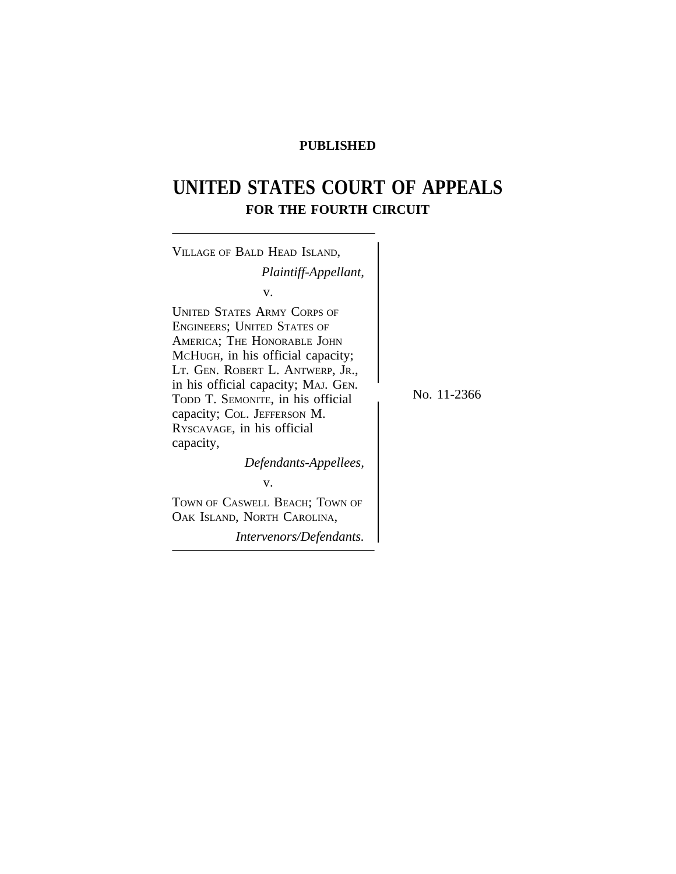## **PUBLISHED**

## **UNITED STATES COURT OF APPEALS FOR THE FOURTH CIRCUIT**

| VILLAGE OF BALD HEAD ISLAND,                                                                                                                                                                                                                                                                                                                                                                                                                                      |             |
|-------------------------------------------------------------------------------------------------------------------------------------------------------------------------------------------------------------------------------------------------------------------------------------------------------------------------------------------------------------------------------------------------------------------------------------------------------------------|-------------|
| Plaintiff-Appellant,                                                                                                                                                                                                                                                                                                                                                                                                                                              |             |
| v.                                                                                                                                                                                                                                                                                                                                                                                                                                                                |             |
| <b>UNITED STATES ARMY CORPS OF</b><br><b>ENGINEERS; UNITED STATES OF</b><br>AMERICA; THE HONORABLE JOHN<br>McHUGH, in his official capacity;<br>LT. GEN. ROBERT L. ANTWERP, JR.,<br>in his official capacity; MAJ. GEN.<br>TODD T. SEMONITE, in his official<br>capacity; COL. JEFFERSON M.<br>RYSCAVAGE, in his official<br>capacity,<br>Defendants-Appellees,<br>v.<br>TOWN OF CASWELL BEACH; TOWN OF<br>OAK ISLAND, NORTH CAROLINA,<br>Intervenors/Defendants. | No. 11-2366 |
|                                                                                                                                                                                                                                                                                                                                                                                                                                                                   |             |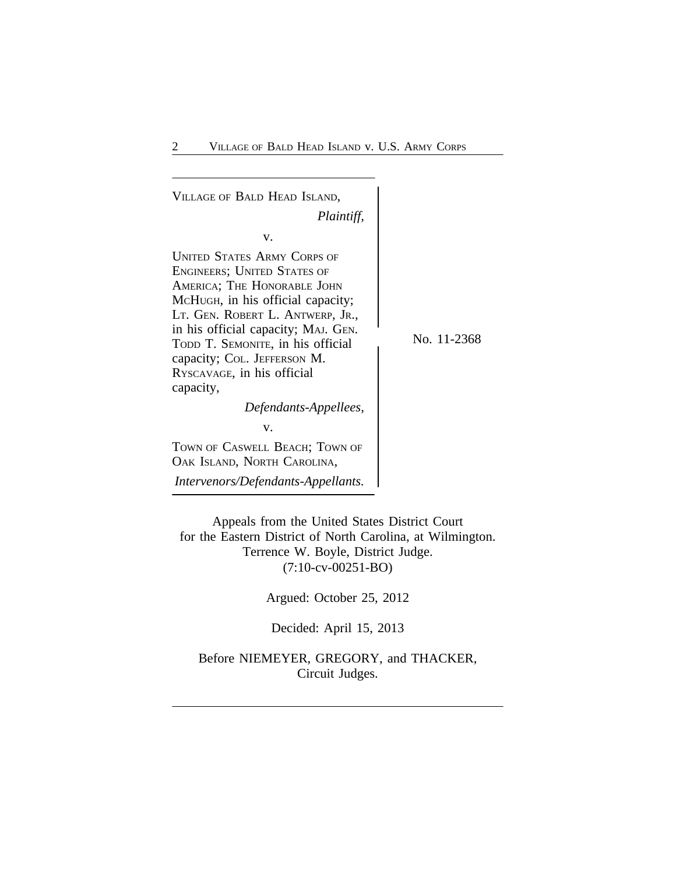<sup>V</sup>ILLAGE OF BALD HEAD ISLAND, *Plaintiff,* v. UNITED STATES ARMY CORPS OF ENGINEERS; UNITED STATES OF AMERICA; THE HONORABLE JOHN MCHUGH, in his official capacity; LT. GEN. ROBERT L. ANTWERP, JR., in his official capacity; MAJ. GEN. TODD T. SEMONITE, in his official No. 11-2368 capacity; COL. JEFFERSON M. RYSCAVAGE, in his official capacity, *Defendants-Appellees,* v. TOWN OF CASWELL BEACH; TOWN OF OAK ISLAND, NORTH CAROLINA, *Intervenors/Defendants-Appellants.*

Appeals from the United States District Court for the Eastern District of North Carolina, at Wilmington. Terrence W. Boyle, District Judge. (7:10-cv-00251-BO)

Argued: October 25, 2012

Decided: April 15, 2013

Before NIEMEYER, GREGORY, and THACKER, Circuit Judges.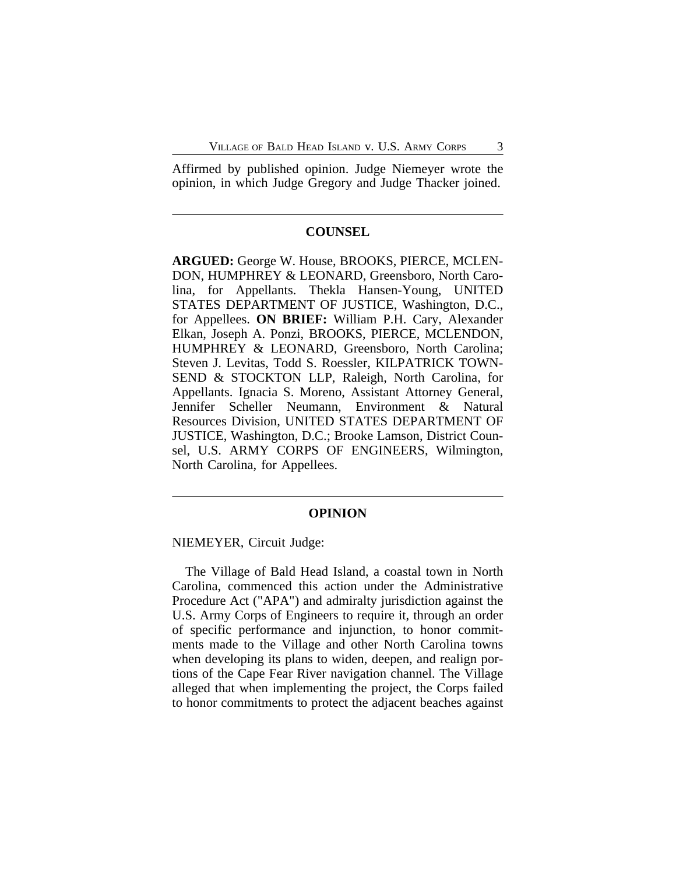Affirmed by published opinion. Judge Niemeyer wrote the opinion, in which Judge Gregory and Judge Thacker joined.

## **COUNSEL**

**ARGUED:** George W. House, BROOKS, PIERCE, MCLEN-DON, HUMPHREY & LEONARD, Greensboro, North Carolina, for Appellants. Thekla Hansen-Young, UNITED STATES DEPARTMENT OF JUSTICE, Washington, D.C., for Appellees. **ON BRIEF:** William P.H. Cary, Alexander Elkan, Joseph A. Ponzi, BROOKS, PIERCE, MCLENDON, HUMPHREY & LEONARD, Greensboro, North Carolina; Steven J. Levitas, Todd S. Roessler, KILPATRICK TOWN-SEND & STOCKTON LLP, Raleigh, North Carolina, for Appellants. Ignacia S. Moreno, Assistant Attorney General, Jennifer Scheller Neumann, Environment & Natural Resources Division, UNITED STATES DEPARTMENT OF JUSTICE, Washington, D.C.; Brooke Lamson, District Counsel, U.S. ARMY CORPS OF ENGINEERS, Wilmington, North Carolina, for Appellees.

## **OPINION**

NIEMEYER, Circuit Judge:

The Village of Bald Head Island, a coastal town in North Carolina, commenced this action under the Administrative Procedure Act ("APA") and admiralty jurisdiction against the U.S. Army Corps of Engineers to require it, through an order of specific performance and injunction, to honor commitments made to the Village and other North Carolina towns when developing its plans to widen, deepen, and realign portions of the Cape Fear River navigation channel. The Village alleged that when implementing the project, the Corps failed to honor commitments to protect the adjacent beaches against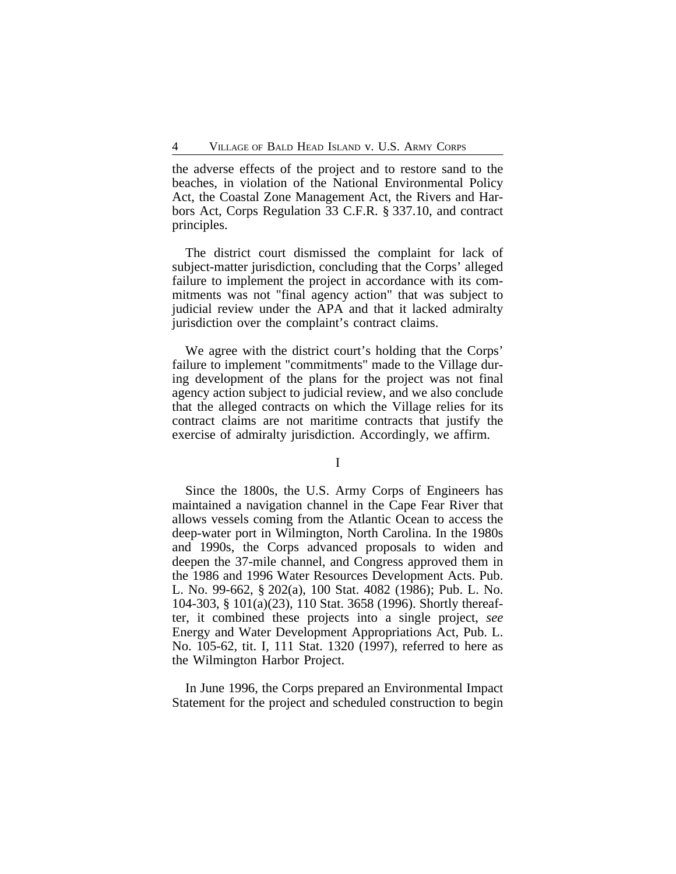the adverse effects of the project and to restore sand to the beaches, in violation of the National Environmental Policy Act, the Coastal Zone Management Act, the Rivers and Harbors Act, Corps Regulation 33 C.F.R. § 337.10, and contract principles.

The district court dismissed the complaint for lack of subject-matter jurisdiction, concluding that the Corps' alleged failure to implement the project in accordance with its commitments was not "final agency action" that was subject to judicial review under the APA and that it lacked admiralty jurisdiction over the complaint's contract claims.

We agree with the district court's holding that the Corps' failure to implement "commitments" made to the Village during development of the plans for the project was not final agency action subject to judicial review, and we also conclude that the alleged contracts on which the Village relies for its contract claims are not maritime contracts that justify the exercise of admiralty jurisdiction. Accordingly, we affirm.

I

Since the 1800s, the U.S. Army Corps of Engineers has maintained a navigation channel in the Cape Fear River that allows vessels coming from the Atlantic Ocean to access the deep-water port in Wilmington, North Carolina. In the 1980s and 1990s, the Corps advanced proposals to widen and deepen the 37-mile channel, and Congress approved them in the 1986 and 1996 Water Resources Development Acts. Pub. L. No. 99-662, § 202(a), 100 Stat. 4082 (1986); Pub. L. No. 104-303, § 101(a)(23), 110 Stat. 3658 (1996). Shortly thereafter, it combined these projects into a single project, *see* Energy and Water Development Appropriations Act, Pub. L. No. 105-62, tit. I, 111 Stat. 1320 (1997), referred to here as the Wilmington Harbor Project.

In June 1996, the Corps prepared an Environmental Impact Statement for the project and scheduled construction to begin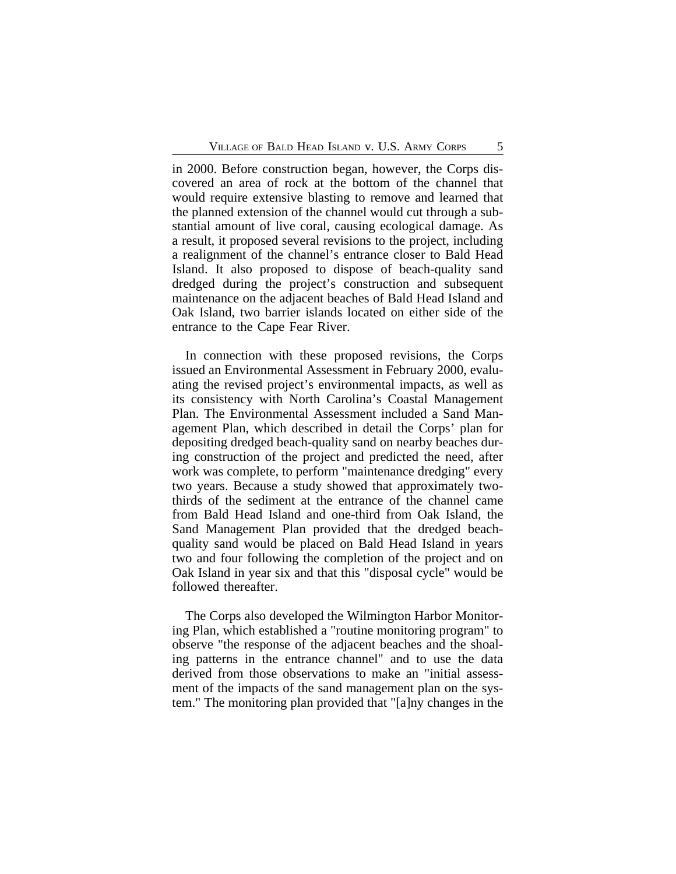in 2000. Before construction began, however, the Corps discovered an area of rock at the bottom of the channel that would require extensive blasting to remove and learned that the planned extension of the channel would cut through a substantial amount of live coral, causing ecological damage. As a result, it proposed several revisions to the project, including a realignment of the channel's entrance closer to Bald Head Island. It also proposed to dispose of beach-quality sand dredged during the project's construction and subsequent maintenance on the adjacent beaches of Bald Head Island and Oak Island, two barrier islands located on either side of the entrance to the Cape Fear River.

In connection with these proposed revisions, the Corps issued an Environmental Assessment in February 2000, evaluating the revised project's environmental impacts, as well as its consistency with North Carolina's Coastal Management Plan. The Environmental Assessment included a Sand Management Plan, which described in detail the Corps' plan for depositing dredged beach-quality sand on nearby beaches during construction of the project and predicted the need, after work was complete, to perform "maintenance dredging" every two years. Because a study showed that approximately twothirds of the sediment at the entrance of the channel came from Bald Head Island and one-third from Oak Island, the Sand Management Plan provided that the dredged beachquality sand would be placed on Bald Head Island in years two and four following the completion of the project and on Oak Island in year six and that this "disposal cycle" would be followed thereafter.

The Corps also developed the Wilmington Harbor Monitoring Plan, which established a "routine monitoring program" to observe "the response of the adjacent beaches and the shoaling patterns in the entrance channel" and to use the data derived from those observations to make an "initial assessment of the impacts of the sand management plan on the system." The monitoring plan provided that "[a]ny changes in the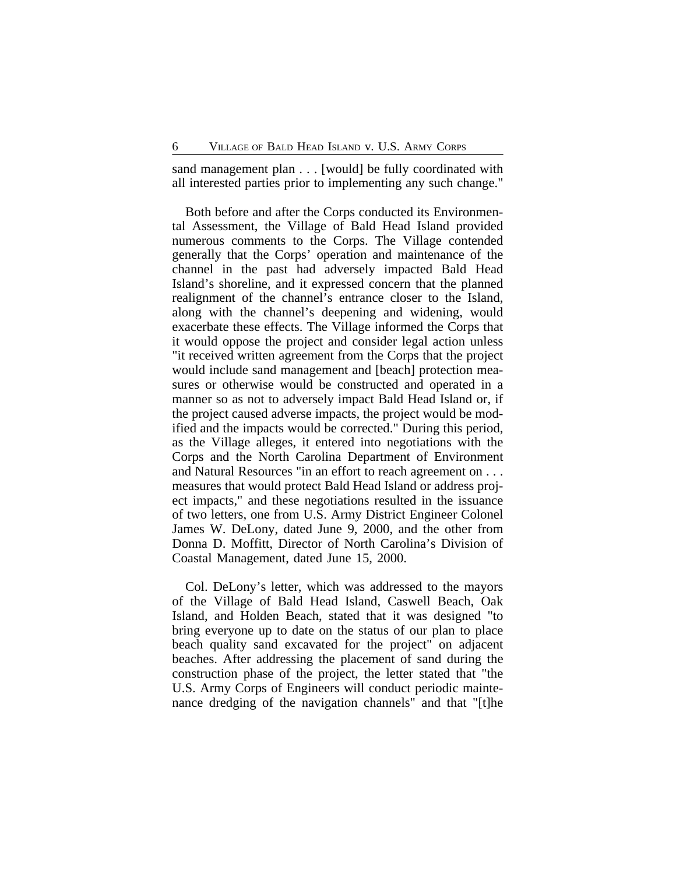sand management plan . . . [would] be fully coordinated with all interested parties prior to implementing any such change."

Both before and after the Corps conducted its Environmental Assessment, the Village of Bald Head Island provided numerous comments to the Corps. The Village contended generally that the Corps' operation and maintenance of the channel in the past had adversely impacted Bald Head Island's shoreline, and it expressed concern that the planned realignment of the channel's entrance closer to the Island, along with the channel's deepening and widening, would exacerbate these effects. The Village informed the Corps that it would oppose the project and consider legal action unless "it received written agreement from the Corps that the project would include sand management and [beach] protection measures or otherwise would be constructed and operated in a manner so as not to adversely impact Bald Head Island or, if the project caused adverse impacts, the project would be modified and the impacts would be corrected." During this period, as the Village alleges, it entered into negotiations with the Corps and the North Carolina Department of Environment and Natural Resources "in an effort to reach agreement on . . . measures that would protect Bald Head Island or address project impacts," and these negotiations resulted in the issuance of two letters, one from U.S. Army District Engineer Colonel James W. DeLony, dated June 9, 2000, and the other from Donna D. Moffitt, Director of North Carolina's Division of Coastal Management, dated June 15, 2000.

Col. DeLony's letter, which was addressed to the mayors of the Village of Bald Head Island, Caswell Beach, Oak Island, and Holden Beach, stated that it was designed "to bring everyone up to date on the status of our plan to place beach quality sand excavated for the project" on adjacent beaches. After addressing the placement of sand during the construction phase of the project, the letter stated that "the U.S. Army Corps of Engineers will conduct periodic maintenance dredging of the navigation channels" and that "[t]he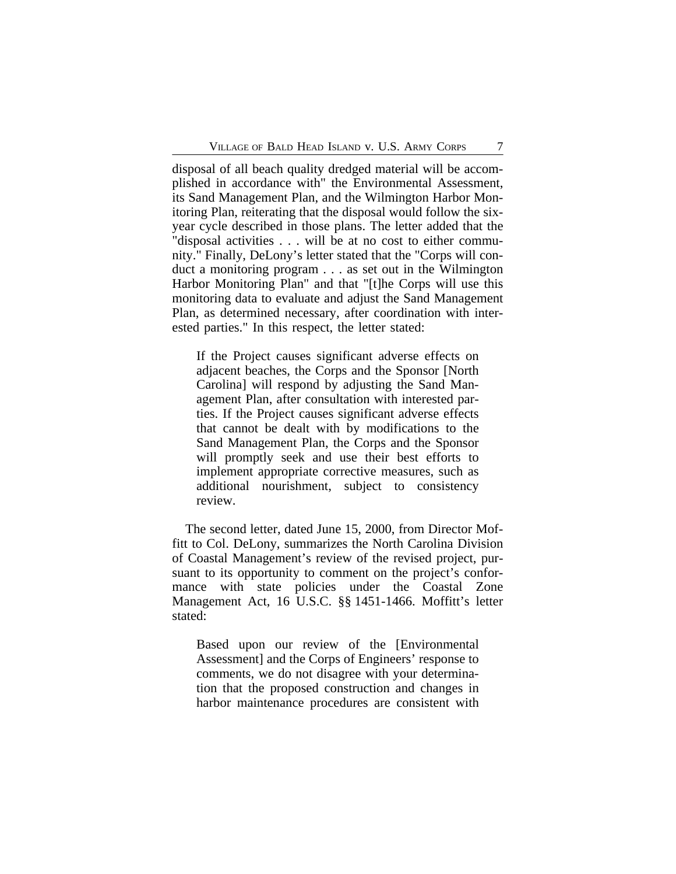disposal of all beach quality dredged material will be accomplished in accordance with" the Environmental Assessment, its Sand Management Plan, and the Wilmington Harbor Monitoring Plan, reiterating that the disposal would follow the sixyear cycle described in those plans. The letter added that the "disposal activities . . . will be at no cost to either community." Finally, DeLony's letter stated that the "Corps will conduct a monitoring program . . . as set out in the Wilmington Harbor Monitoring Plan" and that "[t]he Corps will use this monitoring data to evaluate and adjust the Sand Management Plan, as determined necessary, after coordination with interested parties." In this respect, the letter stated:

If the Project causes significant adverse effects on adjacent beaches, the Corps and the Sponsor [North Carolina] will respond by adjusting the Sand Management Plan, after consultation with interested parties. If the Project causes significant adverse effects that cannot be dealt with by modifications to the Sand Management Plan, the Corps and the Sponsor will promptly seek and use their best efforts to implement appropriate corrective measures, such as additional nourishment, subject to consistency review.

The second letter, dated June 15, 2000, from Director Moffitt to Col. DeLony, summarizes the North Carolina Division of Coastal Management's review of the revised project, pursuant to its opportunity to comment on the project's conformance with state policies under the Coastal Zone Management Act, 16 U.S.C. §§ 1451-1466. Moffitt's letter stated:

Based upon our review of the [Environmental Assessment] and the Corps of Engineers' response to comments, we do not disagree with your determination that the proposed construction and changes in harbor maintenance procedures are consistent with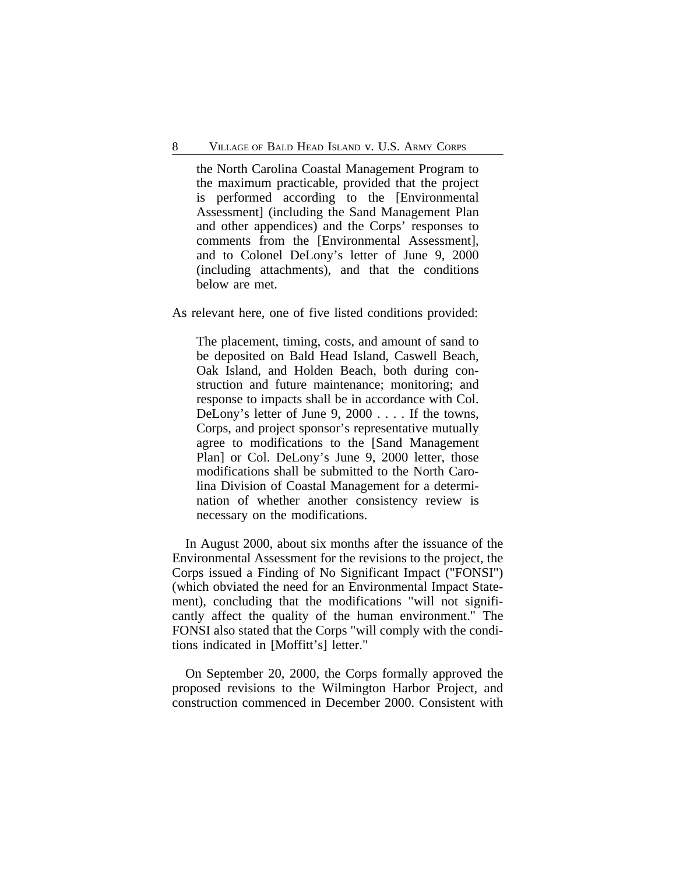the North Carolina Coastal Management Program to the maximum practicable, provided that the project is performed according to the [Environmental Assessment] (including the Sand Management Plan and other appendices) and the Corps' responses to comments from the [Environmental Assessment], and to Colonel DeLony's letter of June 9, 2000 (including attachments), and that the conditions below are met.

As relevant here, one of five listed conditions provided:

The placement, timing, costs, and amount of sand to be deposited on Bald Head Island, Caswell Beach, Oak Island, and Holden Beach, both during construction and future maintenance; monitoring; and response to impacts shall be in accordance with Col. DeLony's letter of June 9, 2000 . . . . If the towns, Corps, and project sponsor's representative mutually agree to modifications to the [Sand Management Plan] or Col. DeLony's June 9, 2000 letter, those modifications shall be submitted to the North Carolina Division of Coastal Management for a determination of whether another consistency review is necessary on the modifications.

In August 2000, about six months after the issuance of the Environmental Assessment for the revisions to the project, the Corps issued a Finding of No Significant Impact ("FONSI") (which obviated the need for an Environmental Impact Statement), concluding that the modifications "will not significantly affect the quality of the human environment." The FONSI also stated that the Corps "will comply with the conditions indicated in [Moffitt's] letter."

On September 20, 2000, the Corps formally approved the proposed revisions to the Wilmington Harbor Project, and construction commenced in December 2000. Consistent with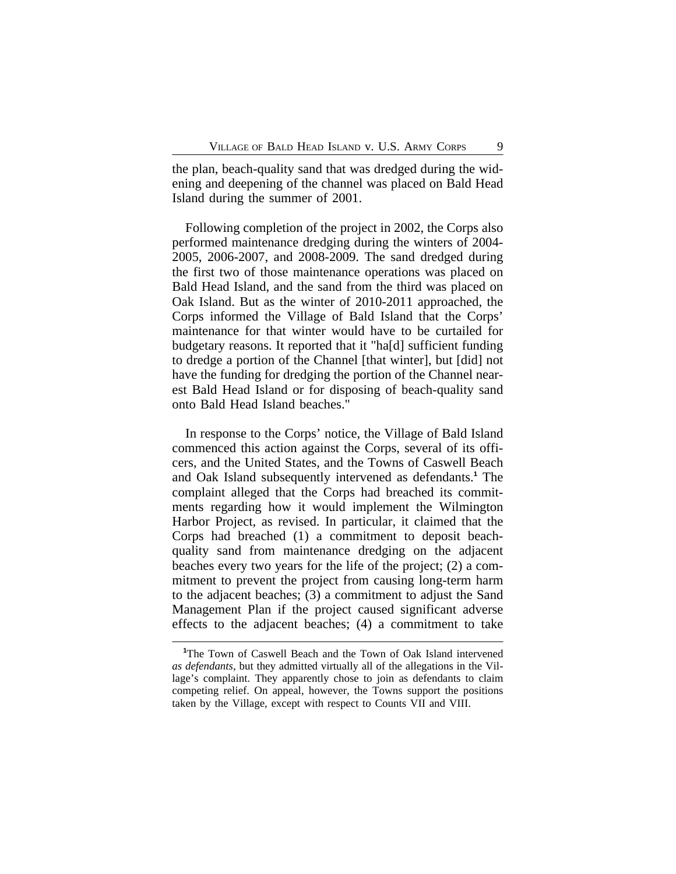the plan, beach-quality sand that was dredged during the widening and deepening of the channel was placed on Bald Head Island during the summer of 2001.

Following completion of the project in 2002, the Corps also performed maintenance dredging during the winters of 2004- 2005, 2006-2007, and 2008-2009. The sand dredged during the first two of those maintenance operations was placed on Bald Head Island, and the sand from the third was placed on Oak Island. But as the winter of 2010-2011 approached, the Corps informed the Village of Bald Island that the Corps' maintenance for that winter would have to be curtailed for budgetary reasons. It reported that it "ha[d] sufficient funding to dredge a portion of the Channel [that winter], but [did] not have the funding for dredging the portion of the Channel nearest Bald Head Island or for disposing of beach-quality sand onto Bald Head Island beaches."

In response to the Corps' notice, the Village of Bald Island commenced this action against the Corps, several of its officers, and the United States, and the Towns of Caswell Beach and Oak Island subsequently intervened as defendants.**<sup>1</sup>** The complaint alleged that the Corps had breached its commitments regarding how it would implement the Wilmington Harbor Project, as revised. In particular, it claimed that the Corps had breached (1) a commitment to deposit beachquality sand from maintenance dredging on the adjacent beaches every two years for the life of the project; (2) a commitment to prevent the project from causing long-term harm to the adjacent beaches; (3) a commitment to adjust the Sand Management Plan if the project caused significant adverse effects to the adjacent beaches; (4) a commitment to take

**<sup>1</sup>**The Town of Caswell Beach and the Town of Oak Island intervened *as defendants*, but they admitted virtually all of the allegations in the Village's complaint. They apparently chose to join as defendants to claim competing relief. On appeal, however, the Towns support the positions taken by the Village, except with respect to Counts VII and VIII.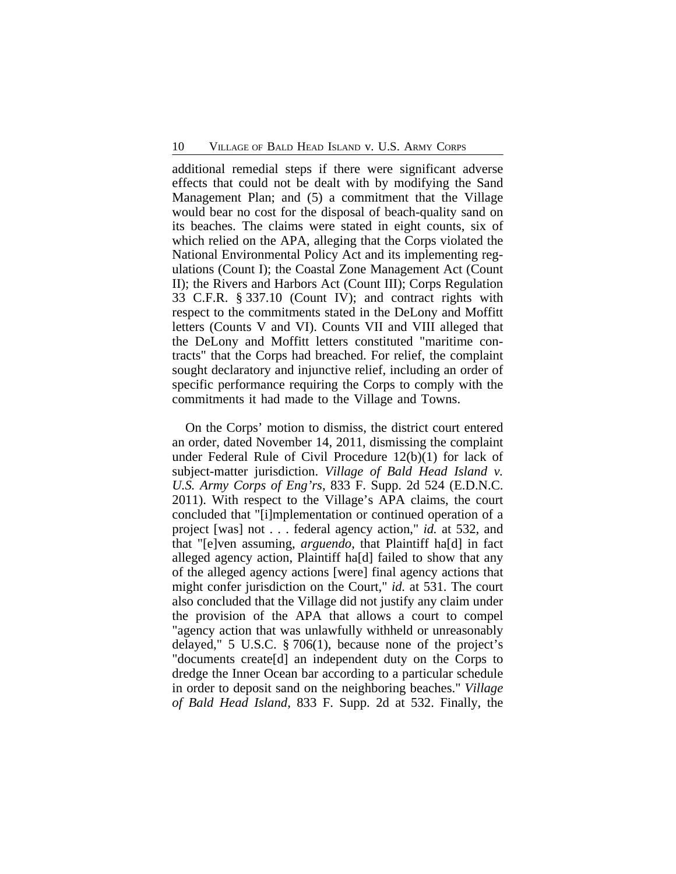additional remedial steps if there were significant adverse effects that could not be dealt with by modifying the Sand Management Plan; and (5) a commitment that the Village would bear no cost for the disposal of beach-quality sand on its beaches. The claims were stated in eight counts, six of which relied on the APA, alleging that the Corps violated the National Environmental Policy Act and its implementing regulations (Count I); the Coastal Zone Management Act (Count II); the Rivers and Harbors Act (Count III); Corps Regulation 33 C.F.R. § 337.10 (Count IV); and contract rights with respect to the commitments stated in the DeLony and Moffitt letters (Counts V and VI). Counts VII and VIII alleged that the DeLony and Moffitt letters constituted "maritime contracts" that the Corps had breached. For relief, the complaint sought declaratory and injunctive relief, including an order of specific performance requiring the Corps to comply with the commitments it had made to the Village and Towns.

On the Corps' motion to dismiss, the district court entered an order, dated November 14, 2011, dismissing the complaint under Federal Rule of Civil Procedure 12(b)(1) for lack of subject-matter jurisdiction. *Village of Bald Head Island v. U.S. Army Corps of Eng'rs*, 833 F. Supp. 2d 524 (E.D.N.C. 2011). With respect to the Village's APA claims, the court concluded that "[i]mplementation or continued operation of a project [was] not . . . federal agency action," *id.* at 532, and that "[e]ven assuming, *arguendo*, that Plaintiff ha[d] in fact alleged agency action, Plaintiff ha[d] failed to show that any of the alleged agency actions [were] final agency actions that might confer jurisdiction on the Court," *id.* at 531. The court also concluded that the Village did not justify any claim under the provision of the APA that allows a court to compel "agency action that was unlawfully withheld or unreasonably delayed," 5 U.S.C. § 706(1), because none of the project's "documents create[d] an independent duty on the Corps to dredge the Inner Ocean bar according to a particular schedule in order to deposit sand on the neighboring beaches." *Village of Bald Head Island*, 833 F. Supp. 2d at 532. Finally, the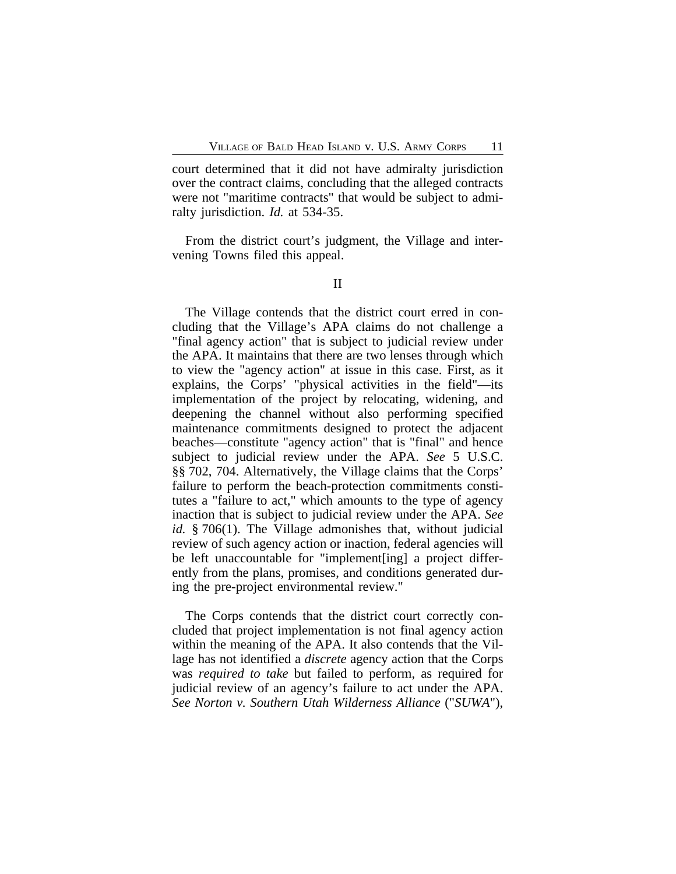court determined that it did not have admiralty jurisdiction over the contract claims, concluding that the alleged contracts were not "maritime contracts" that would be subject to admiralty jurisdiction. *Id.* at 534-35.

From the district court's judgment, the Village and intervening Towns filed this appeal.

The Village contends that the district court erred in concluding that the Village's APA claims do not challenge a "final agency action" that is subject to judicial review under the APA. It maintains that there are two lenses through which to view the "agency action" at issue in this case. First, as it explains, the Corps' "physical activities in the field"—its implementation of the project by relocating, widening, and deepening the channel without also performing specified maintenance commitments designed to protect the adjacent beaches—constitute "agency action" that is "final" and hence subject to judicial review under the APA. *See* 5 U.S.C. §§ 702, 704. Alternatively, the Village claims that the Corps' failure to perform the beach-protection commitments constitutes a "failure to act," which amounts to the type of agency inaction that is subject to judicial review under the APA. *See id.* § 706(1). The Village admonishes that, without judicial review of such agency action or inaction, federal agencies will be left unaccountable for "implement[ing] a project differently from the plans, promises, and conditions generated during the pre-project environmental review."

The Corps contends that the district court correctly concluded that project implementation is not final agency action within the meaning of the APA. It also contends that the Village has not identified a *discrete* agency action that the Corps was *required to take* but failed to perform, as required for judicial review of an agency's failure to act under the APA. *See Norton v. Southern Utah Wilderness Alliance* ("*SUWA*"),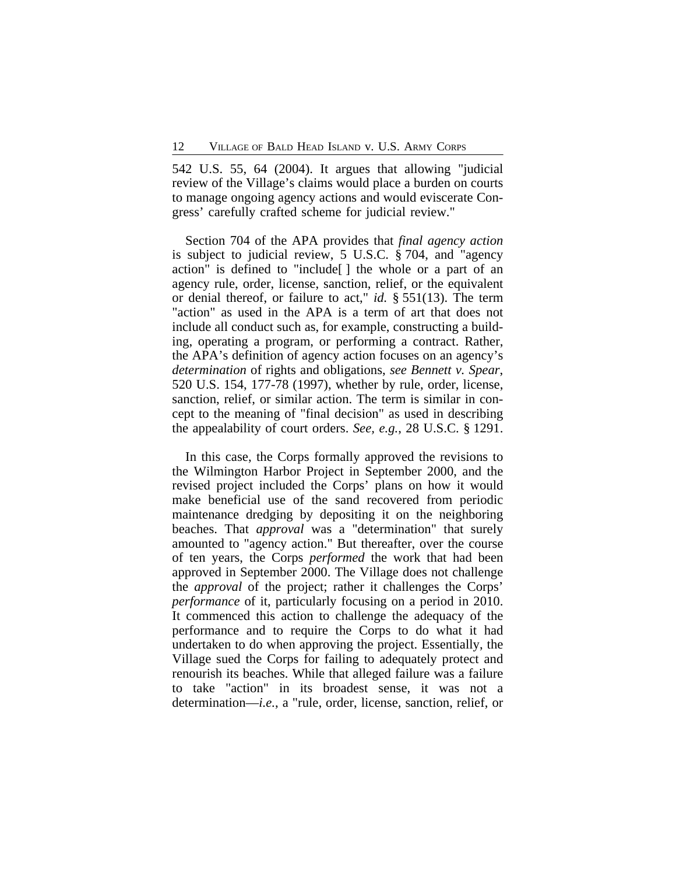542 U.S. 55, 64 (2004). It argues that allowing "judicial review of the Village's claims would place a burden on courts to manage ongoing agency actions and would eviscerate Congress' carefully crafted scheme for judicial review."

Section 704 of the APA provides that *final agency action* is subject to judicial review, 5 U.S.C. § 704, and "agency action" is defined to "include[ ] the whole or a part of an agency rule, order, license, sanction, relief, or the equivalent or denial thereof, or failure to act," *id.* § 551(13). The term "action" as used in the APA is a term of art that does not include all conduct such as, for example, constructing a building, operating a program, or performing a contract. Rather, the APA's definition of agency action focuses on an agency's *determination* of rights and obligations, *see Bennett v. Spear*, 520 U.S. 154, 177-78 (1997), whether by rule, order, license, sanction, relief, or similar action. The term is similar in concept to the meaning of "final decision" as used in describing the appealability of court orders. *See, e.g.*, 28 U.S.C. § 1291.

In this case, the Corps formally approved the revisions to the Wilmington Harbor Project in September 2000, and the revised project included the Corps' plans on how it would make beneficial use of the sand recovered from periodic maintenance dredging by depositing it on the neighboring beaches. That *approval* was a "determination" that surely amounted to "agency action." But thereafter, over the course of ten years, the Corps *performed* the work that had been approved in September 2000. The Village does not challenge the *approval* of the project; rather it challenges the Corps' *performance* of it, particularly focusing on a period in 2010. It commenced this action to challenge the adequacy of the performance and to require the Corps to do what it had undertaken to do when approving the project. Essentially, the Village sued the Corps for failing to adequately protect and renourish its beaches. While that alleged failure was a failure to take "action" in its broadest sense, it was not a determination—*i.e.*, a "rule, order, license, sanction, relief, or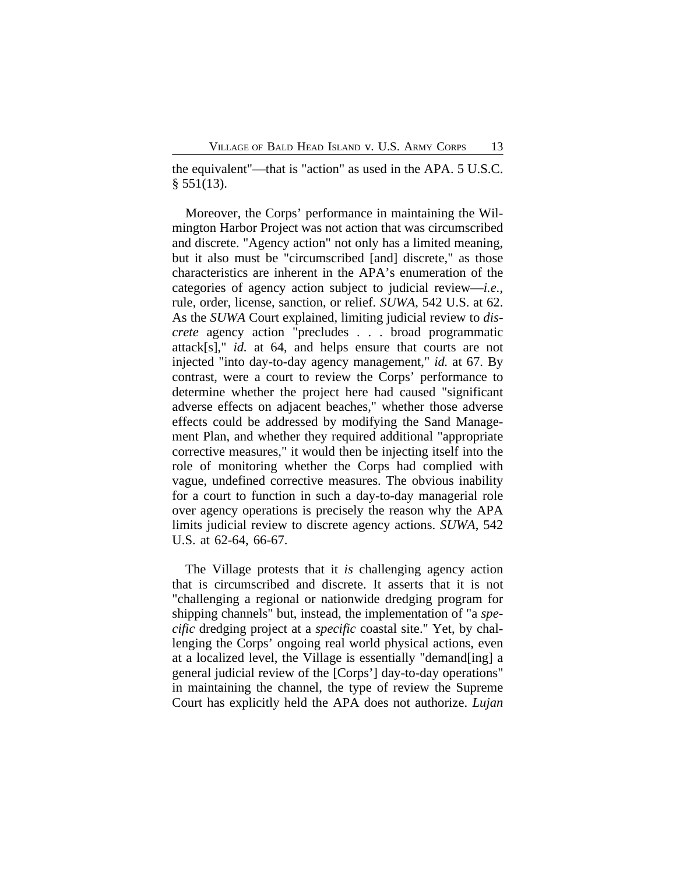the equivalent"—that is "action" as used in the APA. 5 U.S.C.  $§ 551(13).$ 

Moreover, the Corps' performance in maintaining the Wilmington Harbor Project was not action that was circumscribed and discrete. "Agency action" not only has a limited meaning, but it also must be "circumscribed [and] discrete," as those characteristics are inherent in the APA's enumeration of the categories of agency action subject to judicial review—*i.e.*, rule, order, license, sanction, or relief. *SUWA*, 542 U.S. at 62. As the *SUWA* Court explained, limiting judicial review to *discrete* agency action "precludes . . . broad programmatic attack[s]," *id.* at 64, and helps ensure that courts are not injected "into day-to-day agency management," *id.* at 67. By contrast, were a court to review the Corps' performance to determine whether the project here had caused "significant adverse effects on adjacent beaches," whether those adverse effects could be addressed by modifying the Sand Management Plan, and whether they required additional "appropriate corrective measures," it would then be injecting itself into the role of monitoring whether the Corps had complied with vague, undefined corrective measures. The obvious inability for a court to function in such a day-to-day managerial role over agency operations is precisely the reason why the APA limits judicial review to discrete agency actions. *SUWA*, 542 U.S. at 62-64, 66-67.

The Village protests that it *is* challenging agency action that is circumscribed and discrete. It asserts that it is not "challenging a regional or nationwide dredging program for shipping channels" but, instead, the implementation of "a *specific* dredging project at a *specific* coastal site." Yet, by challenging the Corps' ongoing real world physical actions, even at a localized level, the Village is essentially "demand[ing] a general judicial review of the [Corps'] day-to-day operations" in maintaining the channel, the type of review the Supreme Court has explicitly held the APA does not authorize. *Lujan*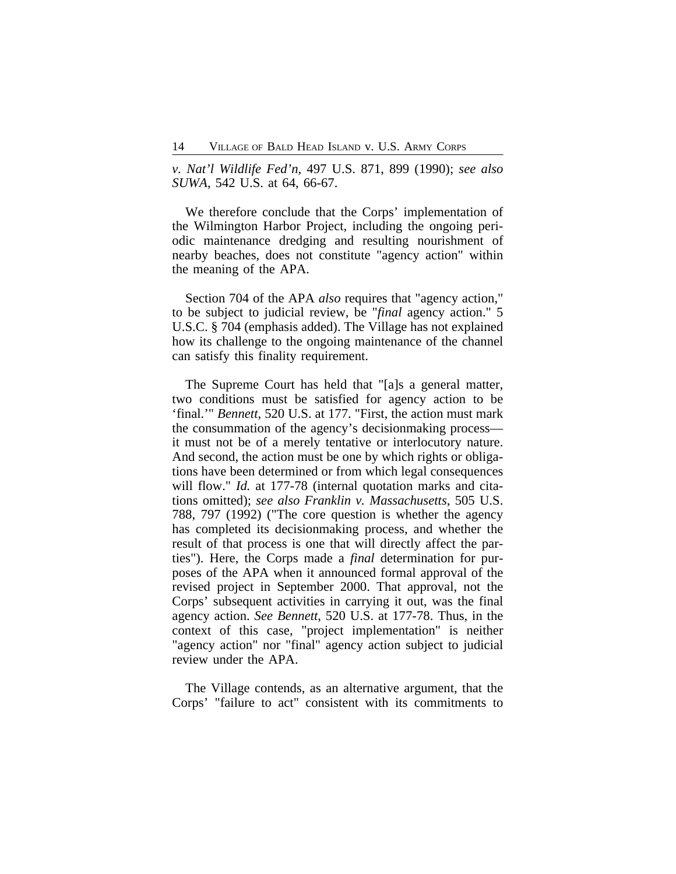*v. Nat'l Wildlife Fed'n*, 497 U.S. 871, 899 (1990); *see also SUWA*, 542 U.S. at 64, 66-67.

We therefore conclude that the Corps' implementation of the Wilmington Harbor Project, including the ongoing periodic maintenance dredging and resulting nourishment of nearby beaches, does not constitute "agency action" within the meaning of the APA.

Section 704 of the APA *also* requires that "agency action," to be subject to judicial review, be "*final* agency action." 5 U.S.C. § 704 (emphasis added). The Village has not explained how its challenge to the ongoing maintenance of the channel can satisfy this finality requirement.

The Supreme Court has held that "[a]s a general matter, two conditions must be satisfied for agency action to be 'final.'" *Bennett*, 520 U.S. at 177. "First, the action must mark the consummation of the agency's decisionmaking process it must not be of a merely tentative or interlocutory nature. And second, the action must be one by which rights or obligations have been determined or from which legal consequences will flow." *Id.* at 177-78 (internal quotation marks and citations omitted); *see also Franklin v. Massachusetts*, 505 U.S. 788, 797 (1992) ("The core question is whether the agency has completed its decisionmaking process, and whether the result of that process is one that will directly affect the parties"). Here, the Corps made a *final* determination for purposes of the APA when it announced formal approval of the revised project in September 2000. That approval, not the Corps' subsequent activities in carrying it out, was the final agency action. *See Bennett*, 520 U.S. at 177-78. Thus, in the context of this case, "project implementation" is neither "agency action" nor "final" agency action subject to judicial review under the APA.

The Village contends, as an alternative argument, that the Corps' "failure to act" consistent with its commitments to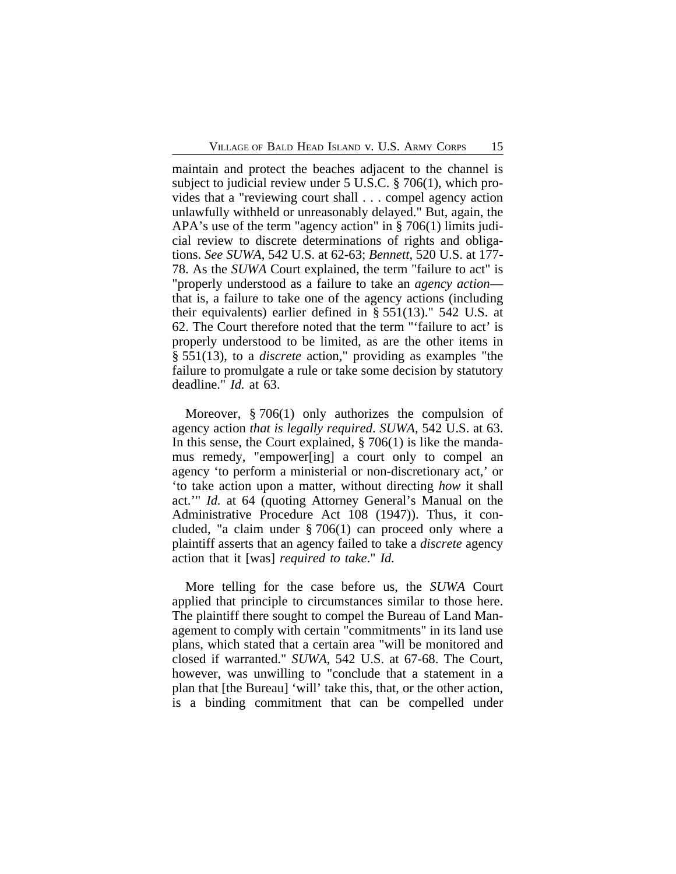maintain and protect the beaches adjacent to the channel is subject to judicial review under 5 U.S.C. § 706(1), which provides that a "reviewing court shall . . . compel agency action unlawfully withheld or unreasonably delayed." But, again, the APA's use of the term "agency action" in § 706(1) limits judicial review to discrete determinations of rights and obligations. *See SUWA*, 542 U.S. at 62-63; *Bennett*, 520 U.S. at 177- 78. As the *SUWA* Court explained, the term "failure to act" is "properly understood as a failure to take an *agency action* that is, a failure to take one of the agency actions (including their equivalents) earlier defined in § 551(13)." 542 U.S. at 62. The Court therefore noted that the term "'failure to act' is properly understood to be limited, as are the other items in § 551(13), to a *discrete* action," providing as examples "the failure to promulgate a rule or take some decision by statutory deadline." *Id.* at 63.

Moreover, § 706(1) only authorizes the compulsion of agency action *that is legally required*. *SUWA*, 542 U.S. at 63. In this sense, the Court explained, § 706(1) is like the mandamus remedy, "empower[ing] a court only to compel an agency 'to perform a ministerial or non-discretionary act,' or 'to take action upon a matter, without directing *how* it shall act.'" *Id.* at 64 (quoting Attorney General's Manual on the Administrative Procedure Act 108 (1947)). Thus, it concluded, "a claim under § 706(1) can proceed only where a plaintiff asserts that an agency failed to take a *discrete* agency action that it [was] *required to take*." *Id.*

More telling for the case before us, the *SUWA* Court applied that principle to circumstances similar to those here. The plaintiff there sought to compel the Bureau of Land Management to comply with certain "commitments" in its land use plans, which stated that a certain area "will be monitored and closed if warranted." *SUWA*, 542 U.S. at 67-68. The Court, however, was unwilling to "conclude that a statement in a plan that [the Bureau] 'will' take this, that, or the other action, is a binding commitment that can be compelled under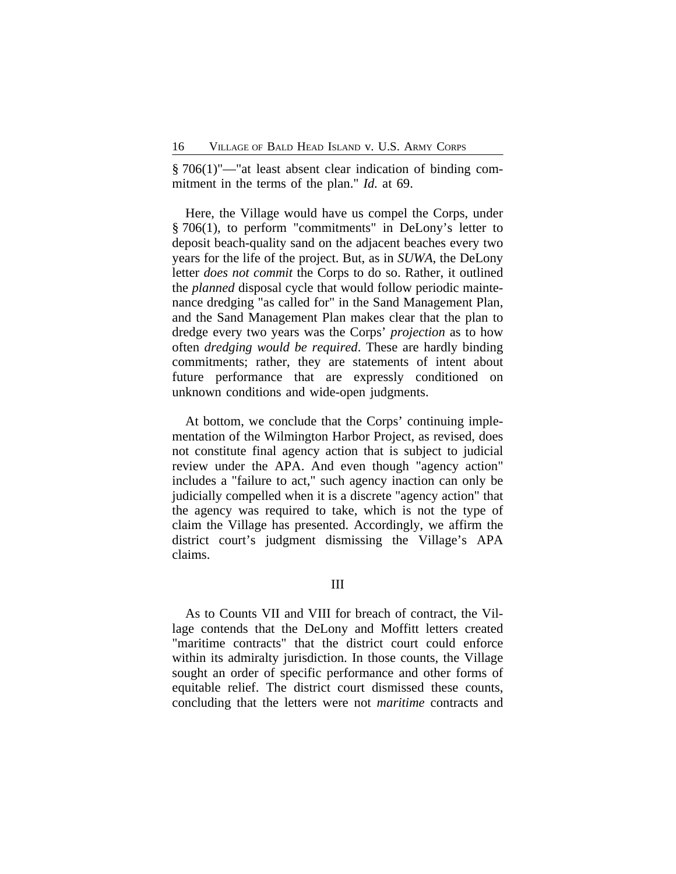§ 706(1)"—"at least absent clear indication of binding commitment in the terms of the plan." *Id.* at 69.

Here, the Village would have us compel the Corps, under § 706(1), to perform "commitments" in DeLony's letter to deposit beach-quality sand on the adjacent beaches every two years for the life of the project. But, as in *SUWA*, the DeLony letter *does not commit* the Corps to do so. Rather, it outlined the *planned* disposal cycle that would follow periodic maintenance dredging "as called for" in the Sand Management Plan, and the Sand Management Plan makes clear that the plan to dredge every two years was the Corps' *projection* as to how often *dredging would be required*. These are hardly binding commitments; rather, they are statements of intent about future performance that are expressly conditioned on unknown conditions and wide-open judgments.

At bottom, we conclude that the Corps' continuing implementation of the Wilmington Harbor Project, as revised, does not constitute final agency action that is subject to judicial review under the APA. And even though "agency action" includes a "failure to act," such agency inaction can only be judicially compelled when it is a discrete "agency action" that the agency was required to take, which is not the type of claim the Village has presented. Accordingly, we affirm the district court's judgment dismissing the Village's APA claims.

As to Counts VII and VIII for breach of contract, the Village contends that the DeLony and Moffitt letters created "maritime contracts" that the district court could enforce within its admiralty jurisdiction. In those counts, the Village sought an order of specific performance and other forms of equitable relief. The district court dismissed these counts, concluding that the letters were not *maritime* contracts and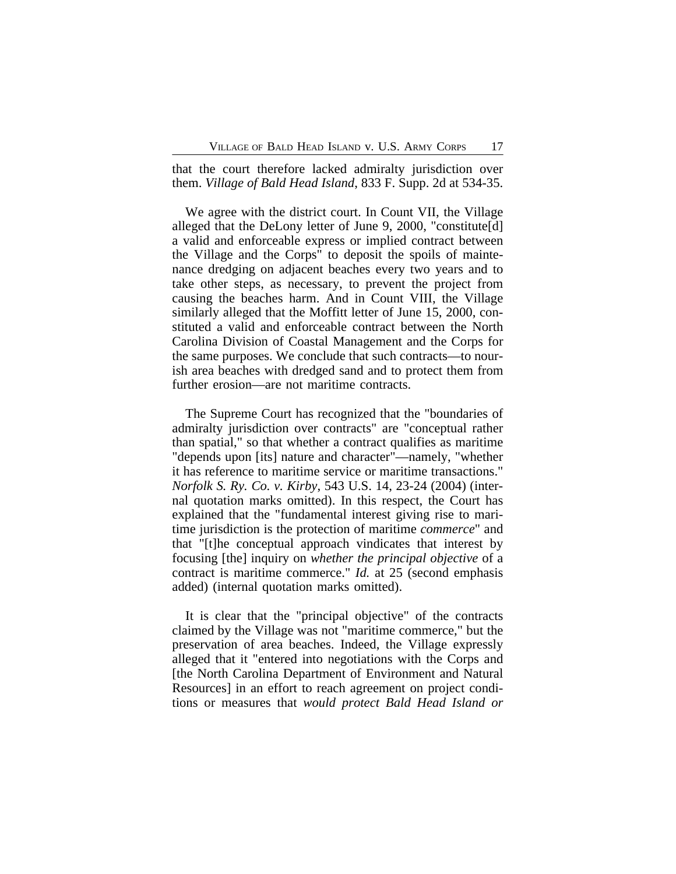that the court therefore lacked admiralty jurisdiction over them. *Village of Bald Head Island*, 833 F. Supp. 2d at 534-35.

We agree with the district court. In Count VII, the Village alleged that the DeLony letter of June 9, 2000, "constitute[d] a valid and enforceable express or implied contract between the Village and the Corps" to deposit the spoils of maintenance dredging on adjacent beaches every two years and to take other steps, as necessary, to prevent the project from causing the beaches harm. And in Count VIII, the Village similarly alleged that the Moffitt letter of June 15, 2000, constituted a valid and enforceable contract between the North Carolina Division of Coastal Management and the Corps for the same purposes. We conclude that such contracts—to nourish area beaches with dredged sand and to protect them from further erosion—are not maritime contracts.

The Supreme Court has recognized that the "boundaries of admiralty jurisdiction over contracts" are "conceptual rather than spatial," so that whether a contract qualifies as maritime "depends upon [its] nature and character"—namely, "whether it has reference to maritime service or maritime transactions." *Norfolk S. Ry. Co. v. Kirby*, 543 U.S. 14, 23-24 (2004) (internal quotation marks omitted). In this respect, the Court has explained that the "fundamental interest giving rise to maritime jurisdiction is the protection of maritime *commerce*" and that "[t]he conceptual approach vindicates that interest by focusing [the] inquiry on *whether the principal objective* of a contract is maritime commerce." *Id.* at 25 (second emphasis added) (internal quotation marks omitted).

It is clear that the "principal objective" of the contracts claimed by the Village was not "maritime commerce," but the preservation of area beaches. Indeed, the Village expressly alleged that it "entered into negotiations with the Corps and [the North Carolina Department of Environment and Natural Resources] in an effort to reach agreement on project conditions or measures that *would protect Bald Head Island or*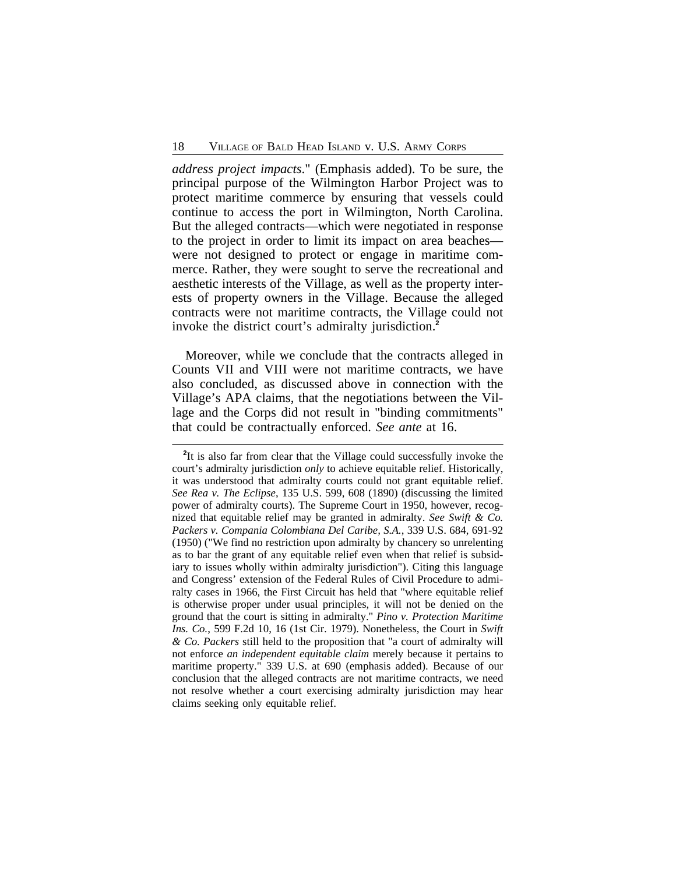*address project impacts*." (Emphasis added). To be sure, the principal purpose of the Wilmington Harbor Project was to protect maritime commerce by ensuring that vessels could continue to access the port in Wilmington, North Carolina. But the alleged contracts—which were negotiated in response to the project in order to limit its impact on area beaches were not designed to protect or engage in maritime commerce. Rather, they were sought to serve the recreational and aesthetic interests of the Village, as well as the property interests of property owners in the Village. Because the alleged contracts were not maritime contracts, the Village could not invoke the district court's admiralty jurisdiction.**<sup>2</sup>**

Moreover, while we conclude that the contracts alleged in Counts VII and VIII were not maritime contracts, we have also concluded, as discussed above in connection with the Village's APA claims, that the negotiations between the Village and the Corps did not result in "binding commitments" that could be contractually enforced. *See ante* at 16.

<sup>&</sup>lt;sup>2</sup>It is also far from clear that the Village could successfully invoke the court's admiralty jurisdiction *only* to achieve equitable relief. Historically, it was understood that admiralty courts could not grant equitable relief. *See Rea v. The Eclipse*, 135 U.S. 599, 608 (1890) (discussing the limited power of admiralty courts). The Supreme Court in 1950, however, recognized that equitable relief may be granted in admiralty. *See Swift & Co. Packers v. Compania Colombiana Del Caribe, S.A.*, 339 U.S. 684, 691-92 (1950) ("We find no restriction upon admiralty by chancery so unrelenting as to bar the grant of any equitable relief even when that relief is subsidiary to issues wholly within admiralty jurisdiction"). Citing this language and Congress' extension of the Federal Rules of Civil Procedure to admiralty cases in 1966, the First Circuit has held that "where equitable relief is otherwise proper under usual principles, it will not be denied on the ground that the court is sitting in admiralty." *Pino v. Protection Maritime Ins. Co.*, 599 F.2d 10, 16 (1st Cir. 1979). Nonetheless, the Court in *Swift & Co. Packers* still held to the proposition that "a court of admiralty will not enforce *an independent equitable claim* merely because it pertains to maritime property." 339 U.S. at 690 (emphasis added). Because of our conclusion that the alleged contracts are not maritime contracts, we need not resolve whether a court exercising admiralty jurisdiction may hear claims seeking only equitable relief.